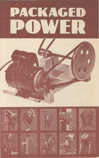# **PACKAGED** O H W



















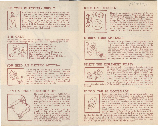$REPR(z(2))$ 

# **USE YOUR ELECTRICITY SUPPLY**



You should realise that your electricity supply can, if you use it, be your greatest aid in reducing heavy manual work in your farmyard. Not alone will it do the work for you, but it will do it faster while you are freed for more important and profitable duties. The Unit Charge, falling from 2.8d. to 1.3d. and to  $1.0d$ . is designed to give you the maximum advantages when you make the maximum use of this ready-to-hand powerful servant.

#### **IT IS CHEAP**

For the cost of one unit of electricity which, for reasonable con-<br>sumption will average at 1d. (the cost of a cigarette) you can:



Slice 2 tons of roots, or<br>Separate 150 gals. of milk, or<br>Churn 100 lbs. of butter, or<br>Cut 4 cwts. of chaff, or<br>Saw through a 12" log 25 times, or<br>Run a sandstone for 3-4 hours, or<br>Lift 100 barrels of oats to a 20' loft, o

## YOU NEED AN ELECTRIC MOTOR-



To do any of these things you need an electric motor.  $\overrightarrow{A}$  H.P. motor is sufficient. Do not allow yourself to be mis-led on this point: this motor can do the work of two strong men and will continue doing it for an indefinite period. You do not need a separate motor for each job, one will do, as it is portable and can be moved from job to job.

# **-AND A SPEED REDUCTION KIT**



The speed of the motor is 1,425 R.P.M. which is, of course, much too fast for most of your machinery. To get down to the 60, 80 or LOO R.P.M. which you want, you will need a SPEED REDUCTION KIT. This Kit is portable also, and therefore, it is not essential to have more than one.<br>The *c* assembled kit works on the

principle that with a small pulley driving to a large pulley, the speed is reduced in proportion to the diameters. With suitable implement pulleys, it gives all the speeds normally necessary for your farmyard machinery.

# **BUILD ONE YOURSELF**



There is no necessity to buy one of the proprietary speed reducers. You can build a simple and cheap unit yourself. The E.S.B. will sell you. a package containing all the necessary pulleys, etc., and an Instruction Book let on how to make a simple wooden base for the Kit and be built by any handy man using a saw, hammer and screw-driver. If you wish, you can purchase it from the E.S.B. instead of building it.

# **MODIFY YOUR APPLIANCE**



To adapt your appliance or implement for electric drive, you simply remove the handle and replace it by a suitable pulley. Now, this pulley or the belt running to it from the Reduction Kit are not normally included in the Kit since the pulley size and belt length are matters which you must fix to suit your own arrangements, and to suit the particular implement you are converting. They can, of course, be purchased, either independently, or, as components of the "POWER PACKET."

# **SELECT THE IMPLEMENT PULLEY**<br>The size of pulley you require depends entirely on



the speed at which you intend to run the appliance. The slower the speed you require the larger the pulley you must put on the implement shaft. The standard motor pulley in the Kit has 4 steps giving you 4 corresponding speeds for your implement pulley. Generally speaking, you will need a 10" or 12" pulley on your churn, a twin 10" pulley on your root chopper and a single JO" on your sand-

stone. Complete details of the available speeds are given in the Instruction Booklet.

# **IT TOO CAN BE HOME-MADE**



It is not essential that you buy an implement pulley: you may already have one of suitable diameter. Even though  $\bigcap$  it is a flat pulley the Vee-belt, if properly tensioned, will drive it quite satisfactorily. You can have a Vee-pulley made by your local carpenter or you can make it yourself. Well-seasoned beech or similar hard wood is an excellent material, but it should have a stiffener of steel plate about  $\frac{1}{3}$ " thick on each side. In the case of the heavier, slower speed implements it may be necessary to use two Vee-belts for the drive to the implement pulley. The final take-off pulley on the Kit is a twin groove Vee

to allow for this. If you wish to buy your implement pulley from the E.S.D., please state the size of the pulley you require, the diameter of the implement drive shaft and whether you want a single groove or twin groove. It can also be bought as part of a standard "Power PACKET."